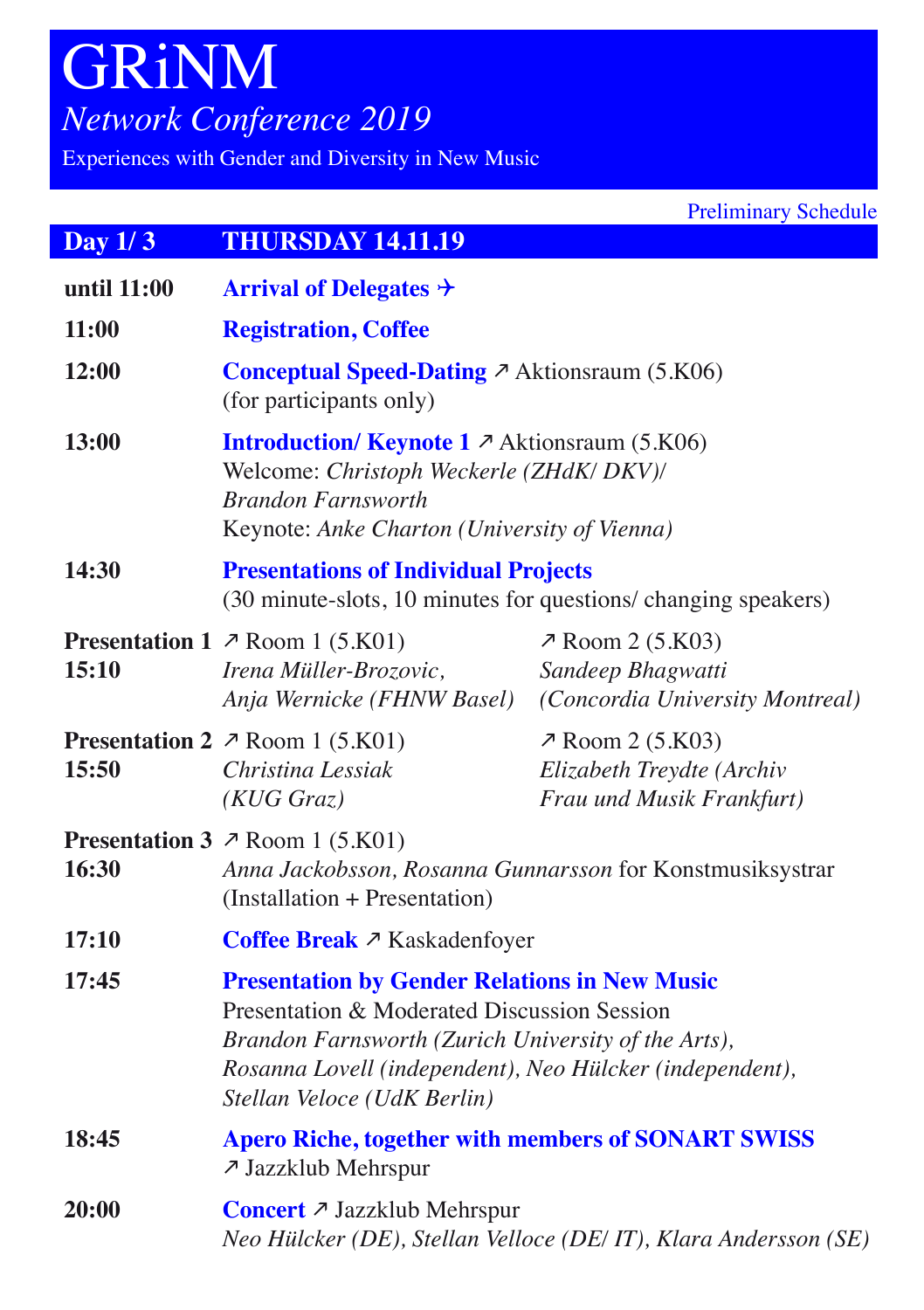# GRiNM *Network Conference 2019*

Experiences with Gender and Diversity in New Music

| Day $1/3$    | <b>THURSDAY 14.11.19</b>                                                                                                                                                                                                                              |                                                                                  |  |
|--------------|-------------------------------------------------------------------------------------------------------------------------------------------------------------------------------------------------------------------------------------------------------|----------------------------------------------------------------------------------|--|
| until 11:00  | <b>Arrival of Delegates <math>\rightarrow</math></b>                                                                                                                                                                                                  |                                                                                  |  |
| 11:00        | <b>Registration, Coffee</b>                                                                                                                                                                                                                           |                                                                                  |  |
| 12:00        | <b>Conceptual Speed-Dating <math>\lambda</math></b> Aktionsraum (5.K06)<br>(for participants only)                                                                                                                                                    |                                                                                  |  |
| <b>13:00</b> | <b>Introduction/ Keynote 1 ↗ Aktionsraum (5.K06)</b><br>Welcome: Christoph Weckerle (ZHdK/ DKV)/<br><b>Brandon Farnsworth</b><br>Keynote: Anke Charton (University of Vienna)                                                                         |                                                                                  |  |
| 14:30        | <b>Presentations of Individual Projects</b><br>(30 minute-slots, 10 minutes for questions/ changing speakers)                                                                                                                                         |                                                                                  |  |
| 15:10        | <b>Presentation 1</b> $\n  \n  7$ Room 1 (5.K01)<br>Irena Müller-Brozovic,<br>Anja Wernicke (FHNW Basel)                                                                                                                                              | <b>∕ Room 2 (5.K03)</b><br>Sandeep Bhagwatti<br>(Concordia University Montreal)  |  |
| 15:50        | <b>Presentation 2</b> $\n $ Room 1 (5.K01)<br>Christina Lessiak<br>$(KUG$ $Graz)$                                                                                                                                                                     | $\n  7$ Room 2 (5.K03)<br>Elizabeth Treydte (Archiv<br>Frau und Musik Frankfurt) |  |
| 16:30        | <b>Presentation 3</b> $\n  \n  7$ Room 1 (5.K01)<br>Anna Jackobsson, Rosanna Gunnarsson for Konstmusiksystrar<br>(Installation + Presentation)                                                                                                        |                                                                                  |  |
| 17:10        |                                                                                                                                                                                                                                                       | Coffee Break ↗ Kaskadenfoyer                                                     |  |
| 17:45        | <b>Presentation by Gender Relations in New Music</b><br>Presentation & Moderated Discussion Session<br>Brandon Farnsworth (Zurich University of the Arts),<br>Rosanna Lovell (independent), Neo Hülcker (independent),<br>Stellan Veloce (UdK Berlin) |                                                                                  |  |
| 18:45        | <b>Apero Riche, together with members of SONART SWISS</b><br>7 Jazzklub Mehrspur                                                                                                                                                                      |                                                                                  |  |
| 20:00        | Concert ↗ Jazzklub Mehrspur<br>Neo Hülcker (DE), Stellan Velloce (DE/IT), Klara Andersson (SE)                                                                                                                                                        |                                                                                  |  |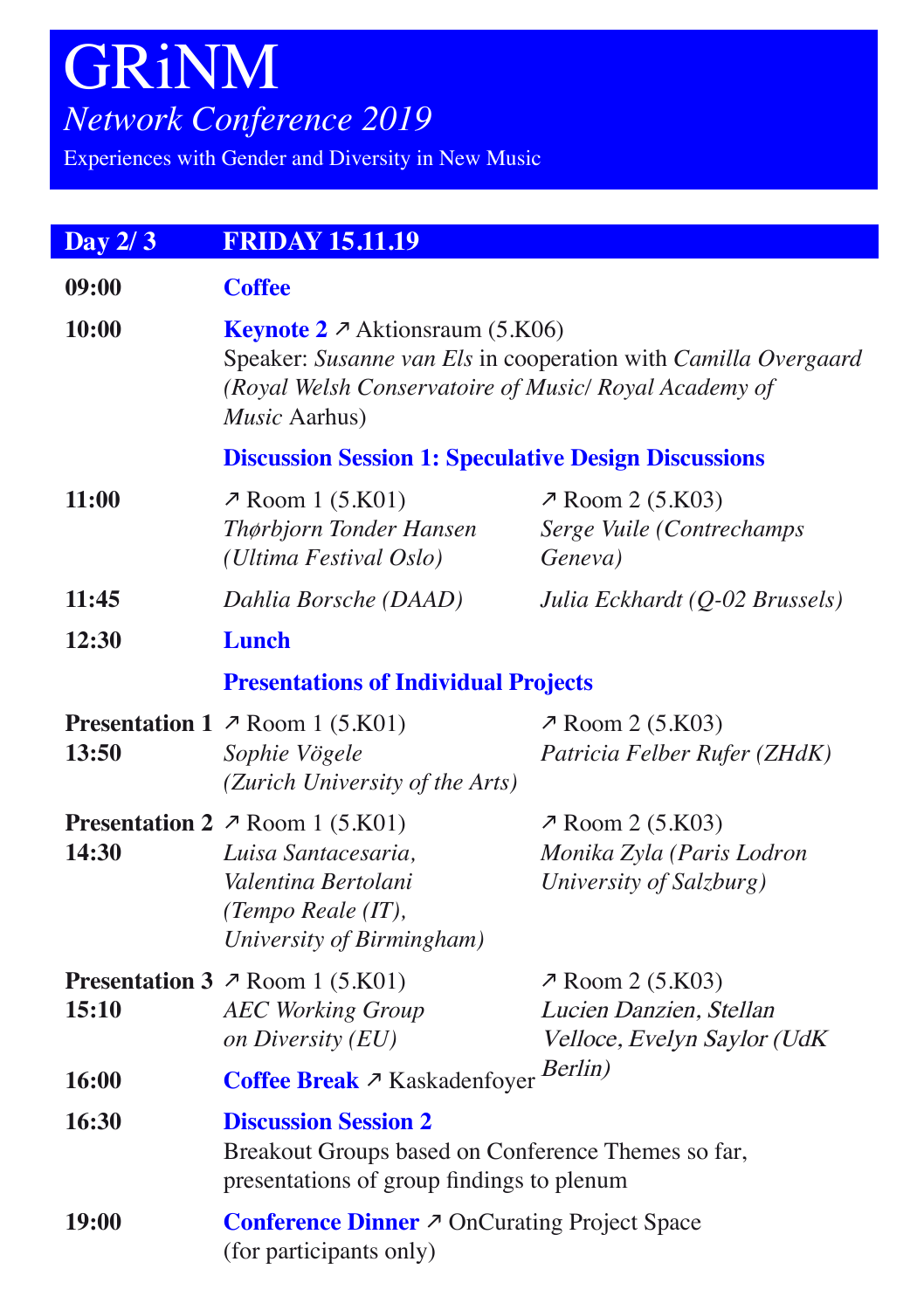# GRiNM *Network Conference 2019*

Experiences with Gender and Diversity in New Music

| Day 2/3 | <b>FRIDAY 15.11.19</b>                                                                                                                                                                     |                                                                                   |  |
|---------|--------------------------------------------------------------------------------------------------------------------------------------------------------------------------------------------|-----------------------------------------------------------------------------------|--|
| 09:00   | <b>Coffee</b>                                                                                                                                                                              |                                                                                   |  |
| 10:00   | <b>Keynote 2</b> $\lambda$ Aktionsraum (5.K06)<br>Speaker: Susanne van Els in cooperation with Camilla Overgaard<br>(Royal Welsh Conservatoire of Music/ Royal Academy of<br>Music Aarhus) |                                                                                   |  |
|         | <b>Discussion Session 1: Speculative Design Discussions</b>                                                                                                                                |                                                                                   |  |
| 11:00   | $\n  7$ Room 1 (5.K01)<br>Thørbjorn Tonder Hansen<br>(Ultima Festival Oslo)                                                                                                                | <b>7</b> Room 2 (5.K03)<br>Serge Vuile (Contrechamps<br>Geneva)                   |  |
| 11:45   | Dahlia Borsche (DAAD)                                                                                                                                                                      | Julia Eckhardt (Q-02 Brussels)                                                    |  |
| 12:30   | <b>Lunch</b>                                                                                                                                                                               |                                                                                   |  |
|         | <b>Presentations of Individual Projects</b>                                                                                                                                                |                                                                                   |  |
| 13:50   | <b>Presentation 1</b> $\nearrow$ Room 1 (5.K01)<br>Sophie Vögele<br>(Zurich University of the Arts)                                                                                        | <b>7</b> Room 2 (5.K03)<br>Patricia Felber Rufer (ZHdK)                           |  |
| 14:30   | <b>Presentation 2</b> $\n $ Room 1 (5.K01)<br>Luisa Santacesaria,<br>Valentina Bertolani<br>(Tempo Reale (IT),<br>University of Birmingham)                                                | $\lambda$ Room 2 (5.K03)<br>Monika Zyla (Paris Lodron<br>University of Salzburg)  |  |
| 15:10   | <b>Presentation 3</b> $\n  \n  7$ Room 1 (5.K01)<br><b>AEC Working Group</b><br>on Diversity (EU)                                                                                          | <b>7</b> Room 2 (5.K03)<br>Lucien Danzien, Stellan<br>Velloce, Evelyn Saylor (UdK |  |
| 16:00   | Berlin)<br>Coffee Break ↗ Kaskadenfoyer                                                                                                                                                    |                                                                                   |  |
| 16:30   | <b>Discussion Session 2</b><br>Breakout Groups based on Conference Themes so far,<br>presentations of group findings to plenum                                                             |                                                                                   |  |
| 19:00   | Conference Dinner ↗ OnCurating Project Space<br>(for participants only)                                                                                                                    |                                                                                   |  |